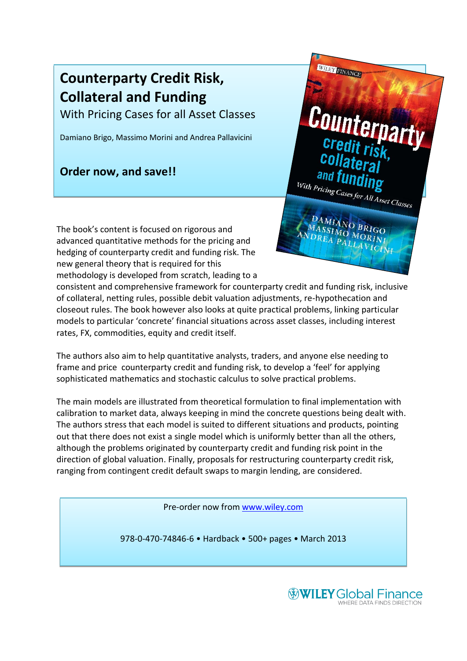# **Counterparty Credit Risk, Collateral and Funding**

With Pricing Cases for all Asset Classes

Damiano Brigo, Massimo Morini and Andrea Pallavicini

# **Order now, and save!!**

With Pricing Cases for All Asset Classes

WILEY FINANCE

The book's content is focused on rigorous and advanced quantitative methods for the pricing and hedging of counterparty credit and funding risk. The new general theory that is required for this methodology is developed from scratch, leading to a

consistent and comprehensive framework for counterparty credit and funding risk, inclusive of collateral, netting rules, possible debit valuation adjustments, re-hypothecation and closeout rules. The book however also looks at quite practical problems, linking particular models to particular 'concrete' financial situations across asset classes, including interest rates, FX, commodities, equity and credit itself.

The authors also aim to help quantitative analysts, traders, and anyone else needing to frame and price counterparty credit and funding risk, to develop a 'feel' for applying sophisticated mathematics and stochastic calculus to solve practical problems.

The main models are illustrated from theoretical formulation to final implementation with calibration to market data, always keeping in mind the concrete questions being dealt with. The authors stress that each model is suited to different situations and products, pointing out that there does not exist a single model which is uniformly better than all the others, although the problems originated by counterparty credit and funding risk point in the direction of global valuation. Finally, proposals for restructuring counterparty credit risk, ranging from contingent credit default swaps to margin lending, are considered.

Pre-order now from [www.wiley.com](http://www.wiley.com/)

978-0-470-74846-6 • Hardback • 500+ pages • March 2013

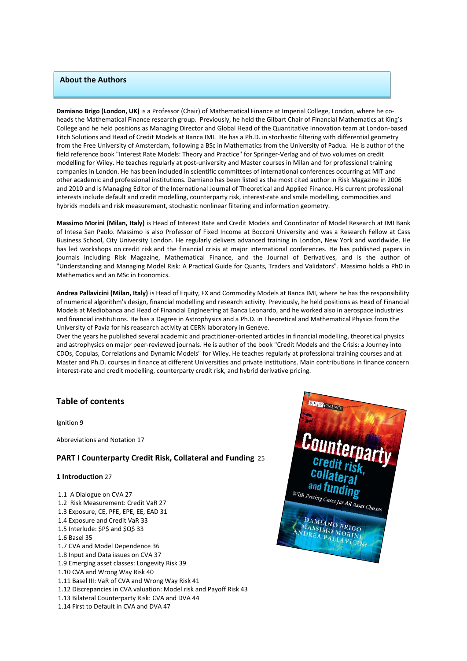### **About the Authors**

**Damiano Brigo (London, UK)** is a Professor (Chair) of Mathematical Finance at Imperial College, London, where he coheads the Mathematical Finance research group. Previously, he held the Gilbart Chair of Financial Mathematics at King's College and he held positions as Managing Director and Global Head of the Quantitative Innovation team at London-based Fitch Solutions and Head of Credit Models at Banca IMI. He has a Ph.D. in stochastic filtering with differential geometry from the Free University of Amsterdam, following a BSc in Mathematics from the University of Padua. He is author of the field reference book "Interest Rate Models: Theory and Practice" for Springer-Verlag and of two volumes on credit modelling for Wiley. He teaches regularly at post-university and Master courses in Milan and for professional training companies in London. He has been included in scientific committees of international conferences occurring at MIT and other academic and professional institutions. Damiano has been listed as the most cited author in Risk Magazine in 2006 and 2010 and is Managing Editor of the International Journal of Theoretical and Applied Finance. His current professional interests include default and credit modelling, counterparty risk, interest-rate and smile modelling, commodities and hybrids models and risk measurement, stochastic nonlinear filtering and information geometry.

**Massimo Morini (Milan, Italy)** is Head of Interest Rate and Credit Models and Coordinator of Model Research at IMI Bank of Intesa San Paolo. Massimo is also Professor of Fixed Income at Bocconi University and was a Research Fellow at Cass Business School, City University London. He regularly delivers advanced training in London, New York and worldwide. He has led workshops on credit risk and the financial crisis at major international conferences. He has published papers in journals including Risk Magazine, Mathematical Finance, and the Journal of Derivatives, and is the author of "Understanding and Managing Model Risk: A Practical Guide for Quants, Traders and Validators". Massimo holds a PhD in Mathematics and an MSc in Economics.

**Andrea Pallavicini (Milan, Italy)** is Head of Equity, FX and Commodity Models at Banca IMI, where he has the responsibility of numerical algorithm's design, financial modelling and research activity. Previously, he held positions as Head of Financial Models at Mediobanca and Head of Financial Engineering at Banca Leonardo, and he worked also in aerospace industries and financial institutions. He has a Degree in Astrophysics and a Ph.D. in Theoretical and Mathematical Physics from the University of Pavia for his reasearch activity at CERN laboratory in Genève.

Over the years he published several academic and practitioner-oriented articles in financial modelling, theoretical physics and astrophysics on major peer-reviewed journals. He is author of the book "Credit Models and the Crisis: a Journey into CDOs, Copulas, Correlations and Dynamic Models" for Wiley. He teaches regularly at professional training courses and at Master and Ph.D. courses in finance at different Universities and private institutions. Main contributions in finance concern interest-rate and credit modelling, counterparty credit risk, and hybrid derivative pricing.

## **Table of contents**

Ignition 9

Abbreviations and Notation 17

#### **PART I Counterparty Credit Risk, Collateral and Funding** 25

#### **1 Introduction** 27

1.1 A Dialogue on CVA 27 1.2 Risk Measurement: Credit VaR 27 1.3 Exposure, CE, PFE, EPE, EE, EAD 31 1.4 Exposure and Credit VaR 33 1.5 Interlude: \$P\$ and \$Q\$ 33 1.6 Basel 35 1.7 CVA and Model Dependence 36 1.8 Input and Data issues on CVA 37 1.9 Emerging asset classes: Longevity Risk 39 1.10 CVA and Wrong Way Risk 40 1.11 Basel III: VaR of CVA and Wrong Way Risk 41 1.12 Discrepancies in CVA valuation: Model risk and Payoff Risk 43 1.13 Bilateral Counterparty Risk: CVA and DVA 44 1.14 First to Default in CVA and DVA 47

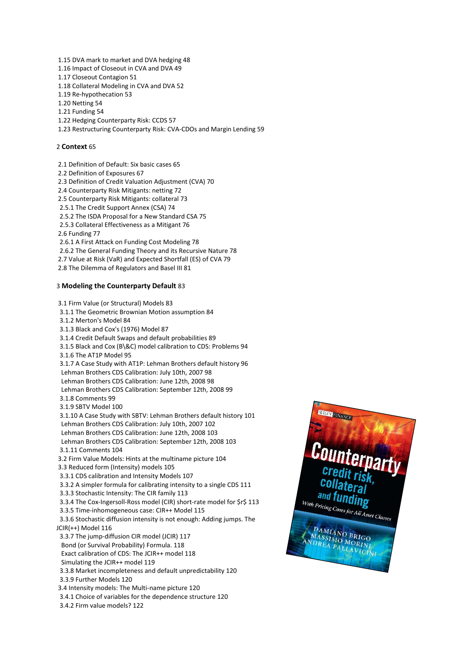1.15 DVA mark to market and DVA hedging 48

- 1.16 Impact of Closeout in CVA and DVA 49
- 1.17 Closeout Contagion 51
- 1.18 Collateral Modeling in CVA and DVA 52
- 1.19 Re-hypothecation 53
- 1.20 Netting 54
- 1.21 Funding 54
- 1.22 Hedging Counterparty Risk: CCDS 57
- 1.23 Restructuring Counterparty Risk: CVA-CDOs and Margin Lending 59

#### 2 **Context** 65

2.1 Definition of Default: Six basic cases 65

- 2.2 Definition of Exposures 67
- 2.3 Definition of Credit Valuation Adjustment (CVA) 70
- 2.4 Counterparty Risk Mitigants: netting 72
- 2.5 Counterparty Risk Mitigants: collateral 73
- 2.5.1 The Credit Support Annex (CSA) 74
- 2.5.2 The ISDA Proposal for a New Standard CSA 75
- 2.5.3 Collateral Effectiveness as a Mitigant 76
- 2.6 Funding 77
- 2.6.1 A First Attack on Funding Cost Modeling 78
- 2.6.2 The General Funding Theory and its Recursive Nature 78
- 2.7 Value at Risk (VaR) and Expected Shortfall (ES) of CVA 79
- 2.8 The Dilemma of Regulators and Basel III 81

#### 3 **Modeling the Counterparty Default** 83

3.1 Firm Value (or Structural) Models 83 3.1.1 The Geometric Brownian Motion assumption 84 3.1.2 Merton's Model 84 3.1.3 Black and Cox's (1976) Model 87 3.1.4 Credit Default Swaps and default probabilities 89 3.1.5 Black and Cox (B\&C) model calibration to CDS: Problems 94 3.1.6 The AT1P Model 95 3.1.7 A Case Study with AT1P: Lehman Brothers default history 96 Lehman Brothers CDS Calibration: July 10th, 2007 98 Lehman Brothers CDS Calibration: June 12th, 2008 98 Lehman Brothers CDS Calibration: September 12th, 2008 99 3.1.8 Comments 99 3.1.9 SBTV Model 100 3.1.10 A Case Study with SBTV: Lehman Brothers default history 101 Lehman Brothers CDS Calibration: July 10th, 2007 102 Lehman Brothers CDS Calibration: June 12th, 2008 103 Lehman Brothers CDS Calibration: September 12th, 2008 103 3.1.11 Comments 104 3.2 Firm Value Models: Hints at the multiname picture 104 3.3 Reduced form (Intensity) models 105 3.3.1 CDS calibration and Intensity Models 107 3.3.2 A simpler formula for calibrating intensity to a single CDS 111 3.3.3 Stochastic Intensity: The CIR family 113 3.3.4 The Cox-Ingersoll-Ross model (CIR) short-rate model for \$r\$ 113 3.3.5 Time-inhomogeneous case: CIR++ Model 115 3.3.6 Stochastic diffusion intensity is not enough: Adding jumps. The JCIR(++) Model 116 3.3.7 The jump-diffusion CIR model (JCIR) 117 Bond (or Survival Probability) Formula. 118 Exact calibration of CDS: The JCIR++ model 118 Simulating the JCIR++ model 119 3.3.8 Market incompleteness and default unpredictability 120 3.3.9 Further Models 120 3.4 Intensity models: The Multi-name picture 120 3.4.1 Choice of variables for the dependence structure 120 3.4.2 Firm value models? 122

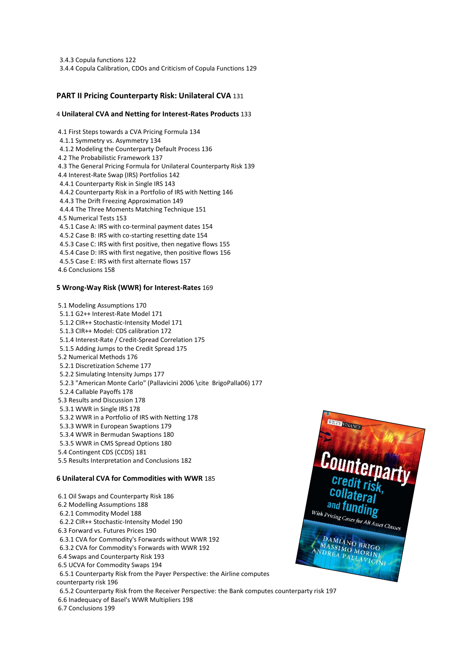3.4.3 Copula functions 122 3.4.4 Copula Calibration, CDOs and Criticism of Copula Functions 129

# **PART II Pricing Counterparty Risk: Unilateral CVA** 131

#### 4 **Unilateral CVA and Netting for Interest-Rates Products** 133

4.1 First Steps towards a CVA Pricing Formula 134 4.1.1 Symmetry vs. Asymmetry 134 4.1.2 Modeling the Counterparty Default Process 136 4.2 The Probabilistic Framework 137 4.3 The General Pricing Formula for Unilateral Counterparty Risk 139 4.4 Interest-Rate Swap (IRS) Portfolios 142 4.4.1 Counterparty Risk in Single IRS 143 4.4.2 Counterparty Risk in a Portfolio of IRS with Netting 146 4.4.3 The Drift Freezing Approximation 149 4.4.4 The Three Moments Matching Technique 151 4.5 Numerical Tests 153 4.5.1 Case A: IRS with co-terminal payment dates 154 4.5.2 Case B: IRS with co-starting resetting date 154 4.5.3 Case C: IRS with first positive, then negative flows 155 4.5.4 Case D: IRS with first negative, then positive flows 156 4.5.5 Case E: IRS with first alternate flows 157 4.6 Conclusions 158

#### **5 Wrong-Way Risk (WWR) for Interest-Rates** 169

5.1 Modeling Assumptions 170 5.1.1 G2++ Interest-Rate Model 171 5.1.2 CIR++ Stochastic-Intensity Model 171 5.1.3 CIR++ Model: CDS calibration 172 5.1.4 Interest-Rate / Credit-Spread Correlation 175 5.1.5 Adding Jumps to the Credit Spread 175 5.2 Numerical Methods 176 5.2.1 Discretization Scheme 177 5.2.2 Simulating Intensity Jumps 177 5.2.3 "American Monte Carlo" (Pallavicini 2006 \cite BrigoPalla06) 177 5.2.4 Callable Payoffs 178 5.3 Results and Discussion 178 5.3.1 WWR in Single IRS 178 5.3.2 WWR in a Portfolio of IRS with Netting 178 5.3.3 WWR in European Swaptions 179 5.3.4 WWR in Bermudan Swaptions 180 5.3.5 WWR in CMS Spread Options 180 5.4 Contingent CDS (CCDS) 181 5.5 Results Interpretation and Conclusions 182

#### **6 Unilateral CVA for Commodities with WWR** 185

6.1 Oil Swaps and Counterparty Risk 186 6.2 Modelling Assumptions 188 6.2.1 Commodity Model 188 6.2.2 CIR++ Stochastic-Intensity Model 190 6.3 Forward vs. Futures Prices 190 6.3.1 CVA for Commodity's Forwards without WWR 192 6.3.2 CVA for Commodity's Forwards with WWR 192 6.4 Swaps and Counterparty Risk 193 6.5 UCVA for Commodity Swaps 194 6.5.1 Counterparty Risk from the Payer Perspective: the Airline computes counterparty risk 196 6.5.2 Counterparty Risk from the Receiver Perspective: the Bank computes counterparty risk 197 6.6 Inadequacy of Basel's WWR Multipliers 198



6.7 Conclusions 199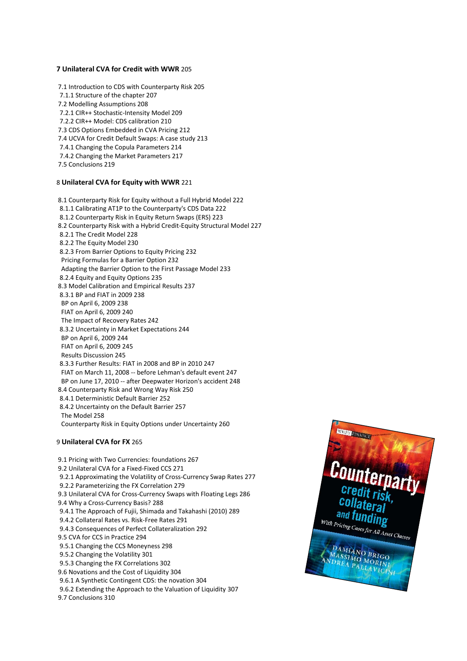#### **7 Unilateral CVA for Credit with WWR** 205

7.1 Introduction to CDS with Counterparty Risk 205 7.1.1 Structure of the chapter 207 7.2 Modelling Assumptions 208 7.2.1 CIR++ Stochastic-Intensity Model 209 7.2.2 CIR++ Model: CDS calibration 210 7.3 CDS Options Embedded in CVA Pricing 212 7.4 UCVA for Credit Default Swaps: A case study 213 7.4.1 Changing the Copula Parameters 214 7.4.2 Changing the Market Parameters 217 7.5 Conclusions 219

#### 8 **Unilateral CVA for Equity with WWR** 221

8.1 Counterparty Risk for Equity without a Full Hybrid Model 222 8.1.1 Calibrating AT1P to the Counterparty's CDS Data 222 8.1.2 Counterparty Risk in Equity Return Swaps (ERS) 223 8.2 Counterparty Risk with a Hybrid Credit-Equity Structural Model 227 8.2.1 The Credit Model 228 8.2.2 The Equity Model 230 8.2.3 From Barrier Options to Equity Pricing 232 Pricing Formulas for a Barrier Option 232 Adapting the Barrier Option to the First Passage Model 233 8.2.4 Equity and Equity Options 235 8.3 Model Calibration and Empirical Results 237 8.3.1 BP and FIAT in 2009 238 BP on April 6, 2009 238 FIAT on April 6, 2009 240 The Impact of Recovery Rates 242 8.3.2 Uncertainty in Market Expectations 244 BP on April 6, 2009 244 FIAT on April 6, 2009 245 Results Discussion 245 8.3.3 Further Results: FIAT in 2008 and BP in 2010 247 FIAT on March 11, 2008 -- before Lehman's default event 247 BP on June 17, 2010 -- after Deepwater Horizon's accident 248 8.4 Counterparty Risk and Wrong Way Risk 250 8.4.1 Deterministic Default Barrier 252 8.4.2 Uncertainty on the Default Barrier 257 The Model 258 Counterparty Risk in Equity Options under Uncertainty 260

#### 9 **Unilateral CVA for FX** 265

9.1 Pricing with Two Currencies: foundations 267 9.2 Unilateral CVA for a Fixed-Fixed CCS 271 9.2.1 Approximating the Volatility of Cross-Currency Swap Rates 277 9.2.2 Parameterizing the FX Correlation 279 9.3 Unilateral CVA for Cross-Currency Swaps with Floating Legs 286 9.4 Why a Cross-Currency Basis? 288 9.4.1 The Approach of Fujii, Shimada and Takahashi (2010) 289 9.4.2 Collateral Rates vs. Risk-Free Rates 291 9.4.3 Consequences of Perfect Collateralization 292 9.5 CVA for CCS in Practice 294 9.5.1 Changing the CCS Moneyness 298 9.5.2 Changing the Volatility 301 9.5.3 Changing the FX Correlations 302 9.6 Novations and the Cost of Liquidity 304 9.6.1 A Synthetic Contingent CDS: the novation 304

9.6.2 Extending the Approach to the Valuation of Liquidity 307

9.7 Conclusions 310

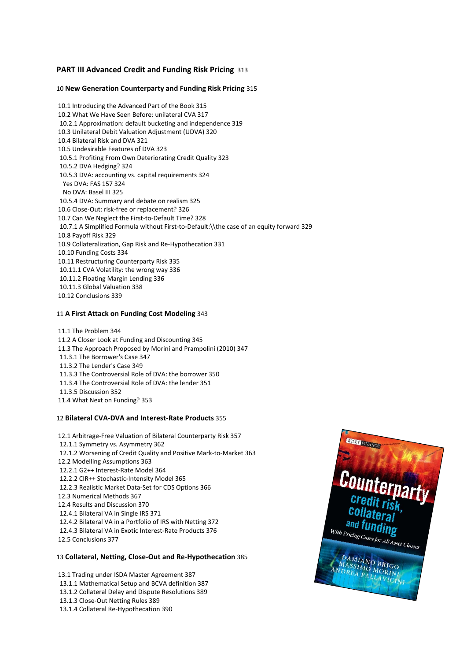### **PART III Advanced Credit and Funding Risk Pricing** 313

#### 10 **New Generation Counterparty and Funding Risk Pricing** 315

10.1 Introducing the Advanced Part of the Book 315 10.2 What We Have Seen Before: unilateral CVA 317 10.2.1 Approximation: default bucketing and independence 319 10.3 Unilateral Debit Valuation Adjustment (UDVA) 320 10.4 Bilateral Risk and DVA 321 10.5 Undesirable Features of DVA 323 10.5.1 Profiting From Own Deteriorating Credit Quality 323 10.5.2 DVA Hedging? 324 10.5.3 DVA: accounting vs. capital requirements 324 Yes DVA: FAS 157 324 No DVA: Basel III 325 10.5.4 DVA: Summary and debate on realism 325 10.6 Close-Out: risk-free or replacement? 326 10.7 Can We Neglect the First-to-Default Time? 328 10.7.1 A Simplified Formula without First-to-Default:\\the case of an equity forward 329 10.8 Payoff Risk 329 10.9 Collateralization, Gap Risk and Re-Hypothecation 331 10.10 Funding Costs 334 10.11 Restructuring Counterparty Risk 335 10.11.1 CVA Volatility: the wrong way 336 10.11.2 Floating Margin Lending 336 10.11.3 Global Valuation 338 10.12 Conclusions 339

#### 11 **A First Attack on Funding Cost Modeling** 343

11.1 The Problem 344 11.2 A Closer Look at Funding and Discounting 345 11.3 The Approach Proposed by Morini and Prampolini (2010) 347 11.3.1 The Borrower's Case 347 11.3.2 The Lender's Case 349 11.3.3 The Controversial Role of DVA: the borrower 350 11.3.4 The Controversial Role of DVA: the lender 351 11.3.5 Discussion 352 11.4 What Next on Funding? 353

#### 12 **Bilateral CVA-DVA and Interest-Rate Products** 355

12.1 Arbitrage-Free Valuation of Bilateral Counterparty Risk 357 12.1.1 Symmetry vs. Asymmetry 362 12.1.2 Worsening of Credit Quality and Positive Mark-to-Market 363 12.2 Modelling Assumptions 363 12.2.1 G2++ Interest-Rate Model 364 12.2.2 CIR++ Stochastic-Intensity Model 365 12.2.3 Realistic Market Data-Set for CDS Options 366 12.3 Numerical Methods 367 12.4 Results and Discussion 370 12.4.1 Bilateral VA in Single IRS 371 12.4.2 Bilateral VA in a Portfolio of IRS with Netting 372 12.4.3 Bilateral VA in Exotic Interest-Rate Products 376 12.5 Conclusions 377

#### 13 **Collateral, Netting, Close-Out and Re-Hypothecation** 385

13.1 Trading under ISDA Master Agreement 387 13.1.1 Mathematical Setup and BCVA definition 387 13.1.2 Collateral Delay and Dispute Resolutions 389 13.1.3 Close-Out Netting Rules 389 13.1.4 Collateral Re-Hypothecation 390

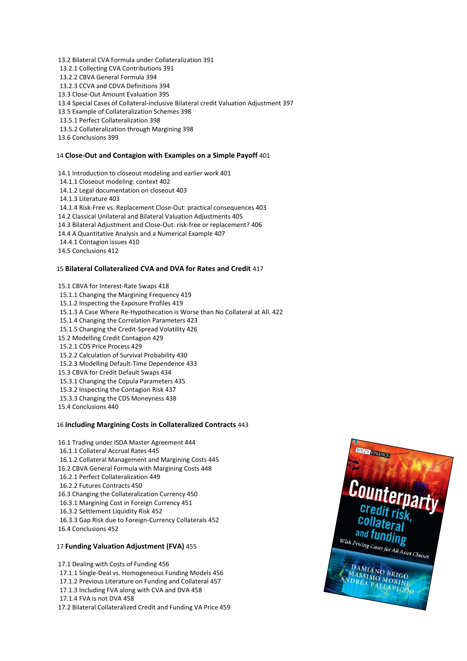13.2 Bilateral CVA Formula under Collateralization 391 13.2.1 Collecting CVA Contributions 391 13.2.2 CBVA General Formula 394 13.2.3 CCVA and CDVA Definitions 394 13.3 Close-Out Amount Evaluation 395 13.4 Special Cases of Collateral-inclusive Bilateral credit Valuation Adjustment 397 13.5 Example of Collateralization Schemes 398 13.5.1 Perfect Collateralization 398 13.5.2 Collateralization through Margining 398 13.6 Conclusions 399

#### 14 **Close-Out and Contagion with Examples on a Simple Payoff** 401

14.1 Introduction to closeout modeling and earlier work 401 14.1.1 Closeout modeling: context 402 14.1.2 Legal documentation on closeout 403 14.1.3 Literature 403 14.1.4 Risk-Free vs. Replacement Close-Out: practical consequences 403 14.2 Classical Unilateral and Bilateral Valuation Adjustments 405 14.3 Bilateral Adjustment and Close-Out: risk-free or replacement? 406 14.4 A Quantitative Analysis and a Numerical Example 407 14.4.1 Contagion issues 410 14.5 Conclusions 412

#### 15 **Bilateral Collateralized CVA and DVA for Rates and Credit** 417

15.1 CBVA for Interest-Rate Swaps 418 15.1.1 Changing the Margining Frequency 419 15.1.2 Inspecting the Exposure Profiles 419 15.1.3 A Case Where Re-Hypothecation is Worse than No Collateral at All. 422 15.1.4 Changing the Correlation Parameters 423 15.1.5 Changing the Credit-Spread Volatility 426 15.2 Modelling Credit Contagion 429 15.2.1 CDS Price Process 429 15.2.2 Calculation of Survival Probability 430 15.2.3 Modelling Default-Time Dependence 433 15.3 CBVA for Credit Default Swaps 434 15.3.1 Changing the Copula Parameters 435 15.3.2 Inspecting the Contagion Risk 437 15.3.3 Changing the CDS Moneyness 438 15.4 Conclusions 440

#### 16 **Including Margining Costs in Collateralized Contracts** 443

16.1 Trading under ISDA Master Agreement 444 16.1.1 Collateral Accrual Rates 445 16.1.2 Collateral Management and Margining Costs 445 16.2 CBVA General Formula with Margining Costs 448 16.2.1 Perfect Collateralization 449 16.2.2 Futures Contracts 450 16.3 Changing the Collateralization Currency 450 16.3.1 Margining Cost in Foreign Currency 451 16.3.2 Settlement Liquidity Risk 452 16.3.3 Gap Risk due to Foreign-Currency Collaterals 452 16.4 Conclusions 452

#### 17 **Funding Valuation Adjustment (FVA)** 455

17.1 Dealing with Costs of Funding 456 17.1.1 Single-Deal vs. Homogeneous Funding Models 456 17.1.2 Previous Literature on Funding and Collateral 457 17.1.3 Including FVA along with CVA and DVA 458 17.1.4 FVA is not DVA 458 17.2 Bilateral Collateralized Credit and Funding VA Price 459